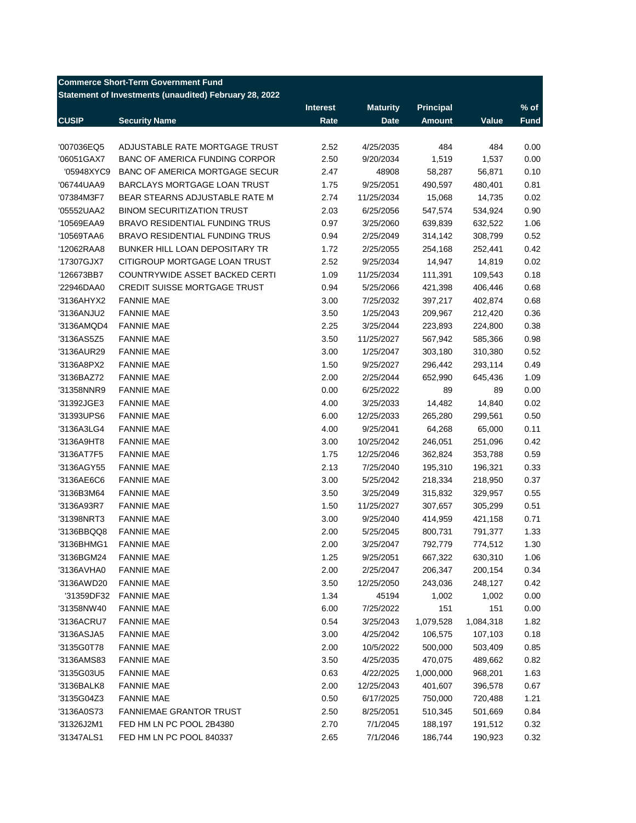## **Commerce Short-Term Government Fund**

**Statement of Investments (unaudited) February 28, 2022**

|              |                                       | <b>Interest</b> | <b>Maturity</b> | <b>Principal</b> |           | $%$ of      |
|--------------|---------------------------------------|-----------------|-----------------|------------------|-----------|-------------|
| <b>CUSIP</b> | <b>Security Name</b>                  | Rate            | <b>Date</b>     | <b>Amount</b>    | Value     | <b>Fund</b> |
|              |                                       |                 |                 |                  |           |             |
| '007036EQ5   | ADJUSTABLE RATE MORTGAGE TRUST        | 2.52            | 4/25/2035       | 484              | 484       | 0.00        |
| '06051GAX7   | BANC OF AMERICA FUNDING CORPOR        | 2.50            | 9/20/2034       | 1,519            | 1,537     | 0.00        |
| '05948XYC9   | <b>BANC OF AMERICA MORTGAGE SECUR</b> | 2.47            | 48908           | 58,287           | 56,871    | 0.10        |
| '06744UAA9   | BARCLAYS MORTGAGE LOAN TRUST          | 1.75            | 9/25/2051       | 490,597          | 480,401   | 0.81        |
| '07384M3F7   | BEAR STEARNS ADJUSTABLE RATE M        | 2.74            | 11/25/2034      | 15,068           | 14,735    | 0.02        |
| '05552UAA2   | <b>BINOM SECURITIZATION TRUST</b>     | 2.03            | 6/25/2056       | 547,574          | 534,924   | 0.90        |
| '10569EAA9   | BRAVO RESIDENTIAL FUNDING TRUS        | 0.97            | 3/25/2060       | 639,839          | 632,522   | 1.06        |
| '10569TAA6   | <b>BRAVO RESIDENTIAL FUNDING TRUS</b> | 0.94            | 2/25/2049       | 314,142          | 308,799   | 0.52        |
| '12062RAA8   | BUNKER HILL LOAN DEPOSITARY TR        | 1.72            | 2/25/2055       | 254,168          | 252,441   | 0.42        |
| '17307GJX7   | CITIGROUP MORTGAGE LOAN TRUST         | 2.52            | 9/25/2034       | 14,947           | 14,819    | 0.02        |
| '126673BB7   | COUNTRYWIDE ASSET BACKED CERTI        | 1.09            | 11/25/2034      | 111,391          | 109,543   | 0.18        |
| '22946DAA0   | <b>CREDIT SUISSE MORTGAGE TRUST</b>   | 0.94            | 5/25/2066       | 421,398          | 406,446   | 0.68        |
| '3136AHYX2   | <b>FANNIE MAE</b>                     | 3.00            | 7/25/2032       | 397,217          | 402,874   | 0.68        |
| '3136ANJU2   | <b>FANNIE MAE</b>                     | 3.50            | 1/25/2043       | 209,967          | 212,420   | 0.36        |
| '3136AMQD4   | <b>FANNIE MAE</b>                     | 2.25            | 3/25/2044       | 223,893          | 224,800   | 0.38        |
| '3136AS5Z5   | <b>FANNIE MAE</b>                     | 3.50            | 11/25/2027      | 567,942          | 585,366   | 0.98        |
| '3136AUR29   | <b>FANNIE MAE</b>                     | 3.00            | 1/25/2047       | 303,180          | 310,380   | 0.52        |
| '3136A8PX2   | <b>FANNIE MAE</b>                     | 1.50            | 9/25/2027       | 296,442          | 293,114   | 0.49        |
| '3136BAZ72   | <b>FANNIE MAE</b>                     | 2.00            | 2/25/2044       | 652,990          | 645,436   | 1.09        |
| '31358NNR9   | <b>FANNIE MAE</b>                     | 0.00            | 6/25/2022       | 89               | 89        | 0.00        |
| '31392JGE3   | <b>FANNIE MAE</b>                     | 4.00            | 3/25/2033       | 14,482           | 14,840    | 0.02        |
| '31393UPS6   | <b>FANNIE MAE</b>                     | 6.00            | 12/25/2033      | 265,280          | 299,561   | 0.50        |
| '3136A3LG4   | <b>FANNIE MAE</b>                     | 4.00            | 9/25/2041       | 64,268           | 65,000    | 0.11        |
| '3136A9HT8   | <b>FANNIE MAE</b>                     | 3.00            | 10/25/2042      | 246,051          | 251,096   | 0.42        |
| '3136AT7F5   | <b>FANNIE MAE</b>                     | 1.75            | 12/25/2046      | 362,824          |           | 0.59        |
|              |                                       |                 |                 |                  | 353,788   |             |
| '3136AGY55   | <b>FANNIE MAE</b>                     | 2.13            | 7/25/2040       | 195,310          | 196,321   | 0.33        |
| '3136AE6C6   | <b>FANNIE MAE</b>                     | 3.00            | 5/25/2042       | 218,334          | 218,950   | 0.37        |
| '3136B3M64   | <b>FANNIE MAE</b>                     | 3.50            | 3/25/2049       | 315,832          | 329,957   | 0.55        |
| '3136A93R7   | <b>FANNIE MAE</b>                     | 1.50            | 11/25/2027      | 307,657          | 305,299   | 0.51        |
| '31398NRT3   | <b>FANNIE MAE</b>                     | 3.00            | 9/25/2040       | 414,959          | 421,158   | 0.71        |
| '3136BBQQ8   | <b>FANNIE MAE</b>                     | 2.00            | 5/25/2045       | 800,731          | 791,377   | 1.33        |
| '3136BHMG1   | <b>FANNIE MAE</b>                     | 2.00            | 3/25/2047       | 792,779          | 774,512   | 1.30        |
| '3136BGM24   | <b>FANNIE MAE</b>                     | 1.25            | 9/25/2051       | 667,322          | 630,310   | 1.06        |
| '3136AVHA0   | <b>FANNIE MAE</b>                     | 2.00            | 2/25/2047       | 206,347          | 200,154   | 0.34        |
| '3136AWD20   | <b>FANNIE MAE</b>                     | 3.50            | 12/25/2050      | 243,036          | 248,127   | 0.42        |
| '31359DF32   | <b>FANNIE MAE</b>                     | 1.34            | 45194           | 1,002            | 1,002     | 0.00        |
| '31358NW40   | <b>FANNIE MAE</b>                     | 6.00            | 7/25/2022       | 151              | 151       | 0.00        |
| '3136ACRU7   | <b>FANNIE MAE</b>                     | 0.54            | 3/25/2043       | 1,079,528        | 1,084,318 | 1.82        |
| '3136ASJA5   | <b>FANNIE MAE</b>                     | 3.00            | 4/25/2042       | 106,575          | 107,103   | 0.18        |
| '3135G0T78   | <b>FANNIE MAE</b>                     | 2.00            | 10/5/2022       | 500,000          | 503,409   | 0.85        |
| '3136AMS83   | <b>FANNIE MAE</b>                     | 3.50            | 4/25/2035       | 470,075          | 489,662   | 0.82        |
| '3135G03U5   | <b>FANNIE MAE</b>                     | 0.63            | 4/22/2025       | 1,000,000        | 968,201   | 1.63        |
| '3136BALK8   | <b>FANNIE MAE</b>                     | 2.00            | 12/25/2043      | 401,607          | 396,578   | 0.67        |
| '3135G04Z3   | <b>FANNIE MAE</b>                     | 0.50            | 6/17/2025       | 750,000          | 720,488   | 1.21        |
| '3136A0S73   | FANNIEMAE GRANTOR TRUST               | 2.50            | 8/25/2051       | 510,345          | 501,669   | 0.84        |
| '31326J2M1   | FED HM LN PC POOL 2B4380              | 2.70            | 7/1/2045        | 188,197          | 191,512   | 0.32        |
| '31347ALS1   | FED HM LN PC POOL 840337              | 2.65            | 7/1/2046        | 186,744          | 190,923   | 0.32        |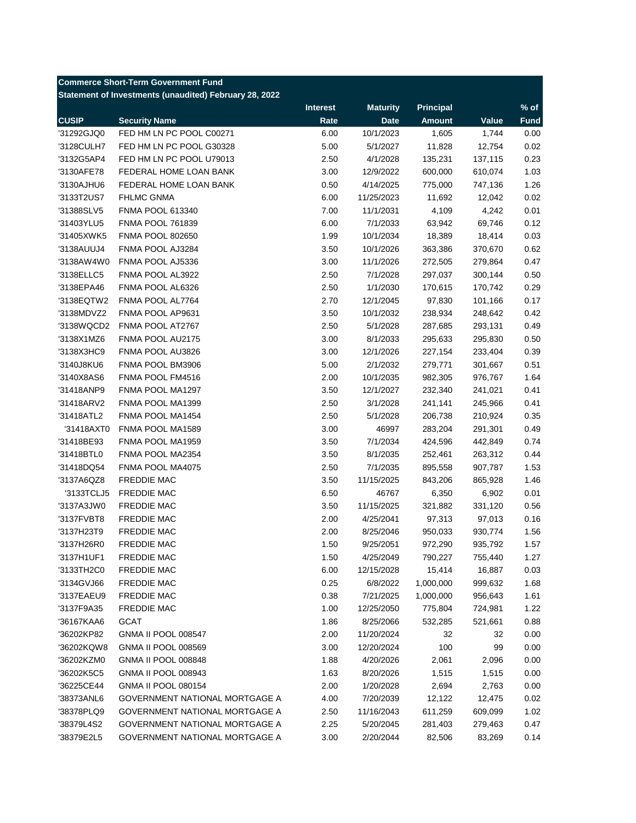## **Commerce Short-Term Government Fund**

**Statement of Investments (unaudited) February 28, 2022**

|              |                                       | <b>Interest</b> | <b>Maturity</b> | <b>Principal</b> |         | $\frac{9}{6}$ of |
|--------------|---------------------------------------|-----------------|-----------------|------------------|---------|------------------|
| <b>CUSIP</b> | <b>Security Name</b>                  | Rate            | <b>Date</b>     | <b>Amount</b>    | Value   | <b>Fund</b>      |
| '31292GJQ0   | FED HM LN PC POOL C00271              | 6.00            | 10/1/2023       | 1,605            | 1,744   | 0.00             |
| '3128CULH7   | FED HM LN PC POOL G30328              | 5.00            | 5/1/2027        | 11,828           | 12,754  | 0.02             |
| '3132G5AP4   | FED HM LN PC POOL U79013              | 2.50            | 4/1/2028        | 135,231          | 137,115 | 0.23             |
| '3130AFE78   | FEDERAL HOME LOAN BANK                | 3.00            | 12/9/2022       | 600,000          | 610,074 | 1.03             |
| '3130AJHU6   | FEDERAL HOME LOAN BANK                | 0.50            | 4/14/2025       | 775,000          | 747,136 | 1.26             |
| '3133T2US7   | <b>FHLMC GNMA</b>                     | 6.00            | 11/25/2023      | 11,692           | 12,042  | 0.02             |
| '31388SLV5   | <b>FNMA POOL 613340</b>               | 7.00            | 11/1/2031       | 4,109            | 4,242   | 0.01             |
| '31403YLU5   | <b>FNMA POOL 761839</b>               | 6.00            | 7/1/2033        | 63,942           | 69,746  | 0.12             |
| '31405XWK5   | <b>FNMA POOL 802650</b>               | 1.99            | 10/1/2034       | 18,389           | 18,414  | 0.03             |
| '3138AUUJ4   | FNMA POOL AJ3284                      | 3.50            | 10/1/2026       | 363,386          | 370,670 | 0.62             |
| '3138AW4W0   | FNMA POOL AJ5336                      | 3.00            | 11/1/2026       | 272,505          | 279,864 | 0.47             |
| '3138ELLC5   | FNMA POOL AL3922                      | 2.50            | 7/1/2028        | 297,037          | 300,144 | 0.50             |
| '3138EPA46   | FNMA POOL AL6326                      | 2.50            | 1/1/2030        | 170,615          | 170,742 | 0.29             |
| '3138EQTW2   | FNMA POOL AL7764                      | 2.70            | 12/1/2045       | 97,830           | 101,166 | 0.17             |
| '3138MDVZ2   | FNMA POOL AP9631                      | 3.50            | 10/1/2032       | 238,934          | 248,642 | 0.42             |
| '3138WQCD2   | FNMA POOL AT2767                      | 2.50            | 5/1/2028        | 287,685          | 293,131 | 0.49             |
| '3138X1MZ6   | FNMA POOL AU2175                      | 3.00            | 8/1/2033        | 295,633          | 295,830 | 0.50             |
| '3138X3HC9   | FNMA POOL AU3826                      | 3.00            | 12/1/2026       | 227,154          | 233,404 | 0.39             |
| '3140J8KU6   | FNMA POOL BM3906                      | 5.00            | 2/1/2032        | 279,771          | 301,667 | 0.51             |
| '3140X8AS6   | FNMA POOL FM4516                      | 2.00            | 10/1/2035       | 982,305          | 976,767 | 1.64             |
| '31418ANP9   | FNMA POOL MA1297                      | 3.50            | 12/1/2027       | 232,340          | 241,021 | 0.41             |
| '31418ARV2   | FNMA POOL MA1399                      | 2.50            | 3/1/2028        | 241,141          | 245,966 | 0.41             |
| '31418ATL2   | FNMA POOL MA1454                      | 2.50            | 5/1/2028        | 206,738          |         | 0.35             |
|              |                                       |                 |                 |                  | 210,924 |                  |
| '31418AXT0   | FNMA POOL MA1589                      | 3.00            | 46997           | 283,204          | 291,301 | 0.49             |
| '31418BE93   | FNMA POOL MA1959                      | 3.50            | 7/1/2034        | 424,596          | 442,849 | 0.74             |
| '31418BTL0   | FNMA POOL MA2354                      | 3.50            | 8/1/2035        | 252,461          | 263,312 | 0.44             |
| '31418DQ54   | FNMA POOL MA4075                      | 2.50            | 7/1/2035        | 895,558          | 907,787 | 1.53             |
| '3137A6QZ8   | <b>FREDDIE MAC</b>                    | 3.50            | 11/15/2025      | 843,206          | 865,928 | 1.46             |
| '3133TCLJ5   | <b>FREDDIE MAC</b>                    | 6.50            | 46767           | 6,350            | 6,902   | 0.01             |
| '3137A3JW0   | <b>FREDDIE MAC</b>                    | 3.50            | 11/15/2025      | 321,882          | 331,120 | 0.56             |
| '3137FVBT8   | <b>FREDDIE MAC</b>                    | 2.00            | 4/25/2041       | 97,313           | 97,013  | 0.16             |
| '3137H23T9   | <b>FREDDIE MAC</b>                    | 2.00            | 8/25/2046       | 950,033          | 930,774 | 1.56             |
| '3137H26R0   | <b>FREDDIE MAC</b>                    | 1.50            | 9/25/2051       | 972,290          | 935,792 | 1.57             |
| '3137H1UF1   | <b>FREDDIE MAC</b>                    | 1.50            | 4/25/2049       | 790,227          | 755,440 | 1.27             |
| '3133TH2C0   | <b>FREDDIE MAC</b>                    | 6.00            | 12/15/2028      | 15,414           | 16,887  | 0.03             |
| '3134GVJ66   | <b>FREDDIE MAC</b>                    | 0.25            | 6/8/2022        | 1,000,000        | 999,632 | 1.68             |
| '3137EAEU9   | FREDDIE MAC                           | 0.38            | 7/21/2025       | 1,000,000        | 956,643 | 1.61             |
| '3137F9A35   | FREDDIE MAC                           | 1.00            | 12/25/2050      | 775,804          | 724,981 | 1.22             |
| '36167KAA6   | <b>GCAT</b>                           | 1.86            | 8/25/2066       | 532,285          | 521,661 | 0.88             |
| '36202KP82   | <b>GNMA II POOL 008547</b>            | 2.00            | 11/20/2024      | 32               | 32      | 0.00             |
| '36202KQW8   | GNMA II POOL 008569                   | 3.00            | 12/20/2024      | 100              | 99      | 0.00             |
| '36202KZM0   | <b>GNMA II POOL 008848</b>            | 1.88            | 4/20/2026       | 2,061            | 2,096   | 0.00             |
| '36202K5C5   | GNMA II POOL 008943                   | 1.63            | 8/20/2026       | 1,515            | 1,515   | 0.00             |
| '36225CE44   | <b>GNMA II POOL 080154</b>            | 2.00            | 1/20/2028       | 2,694            | 2,763   | 0.00             |
| '38373ANL6   | <b>GOVERNMENT NATIONAL MORTGAGE A</b> | 4.00            | 7/20/2039       | 12,122           | 12,475  | 0.02             |
| '38378PLQ9   | <b>GOVERNMENT NATIONAL MORTGAGE A</b> | 2.50            | 11/16/2043      | 611,259          | 609,099 | 1.02             |
| '38379L4S2   | GOVERNMENT NATIONAL MORTGAGE A        | 2.25            | 5/20/2045       | 281,403          | 279,463 | 0.47             |
| '38379E2L5   | GOVERNMENT NATIONAL MORTGAGE A        | 3.00            | 2/20/2044       | 82,506           | 83,269  | 0.14             |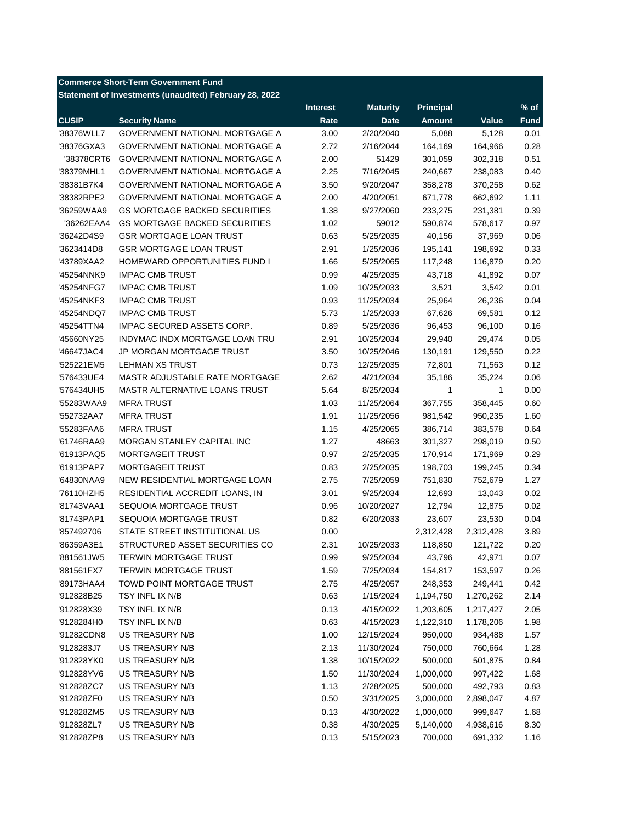## **Commerce Short-Term Government Fund**

**Statement of Investments (unaudited) February 28, 2022**

| <b>CUSIP</b><br><b>Security Name</b><br>Rate<br><b>Date</b><br><b>Amount</b><br>Value<br><b>Fund</b><br>'38376WLL7<br><b>GOVERNMENT NATIONAL MORTGAGE A</b><br>3.00<br>2/20/2040<br>0.01<br>5,088<br>5,128<br>0.28<br>'38376GXA3<br><b>GOVERNMENT NATIONAL MORTGAGE A</b><br>2.72<br>2/16/2044<br>164,169<br>164,966<br><b>GOVERNMENT NATIONAL MORTGAGE A</b><br>2.00<br>51429<br>301,059<br>302,318<br>0.51<br>'38378CRT6<br>2.25<br>0.40<br>'38379MHL1<br><b>GOVERNMENT NATIONAL MORTGAGE A</b><br>7/16/2045<br>240,667<br>238,083<br>'38381B7K4<br><b>GOVERNMENT NATIONAL MORTGAGE A</b><br>3.50<br>9/20/2047<br>358,278<br>370,258<br>0.62<br>2.00<br>1.11<br>'38382RPE2<br>GOVERNMENT NATIONAL MORTGAGE A<br>4/20/2051<br>662,692<br>671,778<br>0.39<br>'36259WAA9<br><b>GS MORTGAGE BACKED SECURITIES</b><br>1.38<br>9/27/2060<br>231,381<br>233,275<br>0.97<br>'36262EAA4<br><b>GS MORTGAGE BACKED SECURITIES</b><br>1.02<br>59012<br>590,874<br>578,617<br>0.06<br>'36242D4S9<br><b>GSR MORTGAGE LOAN TRUST</b><br>0.63<br>5/25/2035<br>37,969<br>40,156<br>0.33<br>'3623414D8<br><b>GSR MORTGAGE LOAN TRUST</b><br>2.91<br>1/25/2036<br>195,141<br>198,692<br>0.20<br>'43789XAA2<br>HOMEWARD OPPORTUNITIES FUND I<br>1.66<br>5/25/2065<br>117,248<br>116,879<br>0.07<br>'45254NNK9<br><b>IMPAC CMB TRUST</b><br>0.99<br>4/25/2035<br>43,718<br>41,892<br><b>IMPAC CMB TRUST</b><br>0.01<br>'45254NFG7<br>1.09<br>10/25/2033<br>3,521<br>3,542<br><b>IMPAC CMB TRUST</b><br>0.04<br>'45254NKF3<br>0.93<br>11/25/2034<br>25,964<br>26,236<br><b>IMPAC CMB TRUST</b><br>5.73<br>1/25/2033<br>0.12<br>'45254NDQ7<br>67,626<br>69,581<br>IMPAC SECURED ASSETS CORP.<br>0.89<br>0.16<br>'45254TTN4<br>5/25/2036<br>96,453<br>96,100<br>'45660NY25<br>INDYMAC INDX MORTGAGE LOAN TRU<br>2.91<br>10/25/2034<br>29,940<br>29,474<br>0.05<br>'46647JAC4<br><b>JP MORGAN MORTGAGE TRUST</b><br>3.50<br>10/25/2046<br>130,191<br>0.22<br>129,550<br>0.12<br>LEHMAN XS TRUST<br>0.73<br>12/25/2035<br>72,801<br>'525221EM5<br>71,563<br>MASTR ADJUSTABLE RATE MORTGAGE<br>2.62<br>4/21/2034<br>0.06<br>'576433UE4<br>35,186<br>35,224<br>0.00<br>'576434UH5<br>MASTR ALTERNATIVE LOANS TRUST<br>5.64<br>8/25/2034<br>$\mathbf{1}$<br>1<br>0.60<br>'55283WAA9<br><b>MFRA TRUST</b><br>1.03<br>11/25/2064<br>367,755<br>358,445<br>1.91<br>1.60<br>'552732AA7<br><b>MFRA TRUST</b><br>11/25/2056<br>981,542<br>950,235<br>0.64<br>'55283FAA6<br><b>MFRA TRUST</b><br>1.15<br>4/25/2065<br>386,714<br>383,578<br>1.27<br>0.50<br>'61746RAA9<br>MORGAN STANLEY CAPITAL INC<br>48663<br>301,327<br>298,019<br>MORTGAGEIT TRUST<br>0.97<br>0.29<br>'61913PAQ5<br>2/25/2035<br>170,914<br>171,969<br>MORTGAGEIT TRUST<br>0.34<br>'61913PAP7<br>0.83<br>2/25/2035<br>198,703<br>199,245<br>NEW RESIDENTIAL MORTGAGE LOAN<br>1.27<br>'64830NAA9<br>2.75<br>7/25/2059<br>751,830<br>752,679<br>0.02<br>'76110HZH5<br>RESIDENTIAL ACCREDIT LOANS, IN<br>3.01<br>9/25/2034<br>12,693<br>13,043<br>SEQUOIA MORTGAGE TRUST<br>0.02<br>'81743VAA1<br>0.96<br>10/20/2027<br>12,794<br>12,875<br>SEQUOIA MORTGAGE TRUST<br>0.04<br>'81743PAP1<br>0.82<br>6/20/2033<br>23,607<br>23,530<br>STATE STREET INSTITUTIONAL US<br>0.00<br>2,312,428<br>2,312,428<br>3.89<br>'857492706<br>STRUCTURED ASSET SECURITIES CO<br>'86359A3E1<br>2.31<br>10/25/2033<br>118,850<br>121,722<br>0.20<br><b>TERWIN MORTGAGE TRUST</b><br>0.99<br>0.07<br>'881561JW5<br>9/25/2034<br>43,796<br>42,971<br>0.26<br>'881561FX7<br>TERWIN MORTGAGE TRUST<br>1.59<br>7/25/2034<br>154,817<br>153,597<br>2.75<br>0.42<br>'89173HAA4<br>TOWD POINT MORTGAGE TRUST<br>4/25/2057<br>248,353<br>249,441<br>0.63<br>2.14<br>'912828B25<br>TSY INFL IX N/B<br>1/15/2024<br>1,194,750<br>1,270,262<br>TSY INFL IX N/B<br>0.13<br>'912828X39<br>4/15/2022<br>1,203,605<br>1,217,427<br>2.05<br>TSY INFL IX N/B<br>0.63<br>1.98<br>'9128284H0<br>4/15/2023<br>1,122,310<br>1,178,206<br>'91282CDN8<br>US TREASURY N/B<br>1.00<br>950,000<br>1.57<br>12/15/2024<br>934,488<br>1.28<br>'9128283J7<br>US TREASURY N/B<br>2.13<br>11/30/2024<br>750,000<br>760,664<br>0.84<br>'912828YK0<br>US TREASURY N/B<br>1.38<br>500,000<br>10/15/2022<br>501,875<br>1.68<br>US TREASURY N/B<br>1.50<br>11/30/2024<br>1,000,000<br>'912828YV6<br>997,422<br>0.83<br>'912828ZC7<br>US TREASURY N/B<br>1.13<br>2/28/2025<br>500,000<br>492,793<br>US TREASURY N/B<br>0.50<br>3,000,000<br>4.87<br>'912828ZF0<br>3/31/2025<br>2,898,047<br>'912828ZM5<br>US TREASURY N/B<br>0.13<br>1,000,000<br>1.68<br>4/30/2022<br>999,647<br>'912828ZL7<br>US TREASURY N/B<br>0.38<br>5,140,000<br>8.30<br>4/30/2025<br>4,938,616 |            |                 | <b>Interest</b> | <b>Maturity</b> | <b>Principal</b> |         | $%$ of |
|-----------------------------------------------------------------------------------------------------------------------------------------------------------------------------------------------------------------------------------------------------------------------------------------------------------------------------------------------------------------------------------------------------------------------------------------------------------------------------------------------------------------------------------------------------------------------------------------------------------------------------------------------------------------------------------------------------------------------------------------------------------------------------------------------------------------------------------------------------------------------------------------------------------------------------------------------------------------------------------------------------------------------------------------------------------------------------------------------------------------------------------------------------------------------------------------------------------------------------------------------------------------------------------------------------------------------------------------------------------------------------------------------------------------------------------------------------------------------------------------------------------------------------------------------------------------------------------------------------------------------------------------------------------------------------------------------------------------------------------------------------------------------------------------------------------------------------------------------------------------------------------------------------------------------------------------------------------------------------------------------------------------------------------------------------------------------------------------------------------------------------------------------------------------------------------------------------------------------------------------------------------------------------------------------------------------------------------------------------------------------------------------------------------------------------------------------------------------------------------------------------------------------------------------------------------------------------------------------------------------------------------------------------------------------------------------------------------------------------------------------------------------------------------------------------------------------------------------------------------------------------------------------------------------------------------------------------------------------------------------------------------------------------------------------------------------------------------------------------------------------------------------------------------------------------------------------------------------------------------------------------------------------------------------------------------------------------------------------------------------------------------------------------------------------------------------------------------------------------------------------------------------------------------------------------------------------------------------------------------------------------------------------------------------------------------------------------------------------------------------------------------------------------------------------------------------------------------------------------------------------------------------------------------------------------------------------------------------------------------------------------------------------------------------------------------------------------------------------------------------------------------------------------------------------------------------------------------------------------------------------------------------------------------------------------------------------------------------------------------------------------------------------------------------------------------------------------------------------------------------------------------------------------------------------------------------------------------------------------------------------------------------------|------------|-----------------|-----------------|-----------------|------------------|---------|--------|
|                                                                                                                                                                                                                                                                                                                                                                                                                                                                                                                                                                                                                                                                                                                                                                                                                                                                                                                                                                                                                                                                                                                                                                                                                                                                                                                                                                                                                                                                                                                                                                                                                                                                                                                                                                                                                                                                                                                                                                                                                                                                                                                                                                                                                                                                                                                                                                                                                                                                                                                                                                                                                                                                                                                                                                                                                                                                                                                                                                                                                                                                                                                                                                                                                                                                                                                                                                                                                                                                                                                                                                                                                                                                                                                                                                                                                                                                                                                                                                                                                                                                                                                                                                                                                                                                                                                                                                                                                                                                                                                                                                                                                                               |            |                 |                 |                 |                  |         |        |
|                                                                                                                                                                                                                                                                                                                                                                                                                                                                                                                                                                                                                                                                                                                                                                                                                                                                                                                                                                                                                                                                                                                                                                                                                                                                                                                                                                                                                                                                                                                                                                                                                                                                                                                                                                                                                                                                                                                                                                                                                                                                                                                                                                                                                                                                                                                                                                                                                                                                                                                                                                                                                                                                                                                                                                                                                                                                                                                                                                                                                                                                                                                                                                                                                                                                                                                                                                                                                                                                                                                                                                                                                                                                                                                                                                                                                                                                                                                                                                                                                                                                                                                                                                                                                                                                                                                                                                                                                                                                                                                                                                                                                                               |            |                 |                 |                 |                  |         |        |
|                                                                                                                                                                                                                                                                                                                                                                                                                                                                                                                                                                                                                                                                                                                                                                                                                                                                                                                                                                                                                                                                                                                                                                                                                                                                                                                                                                                                                                                                                                                                                                                                                                                                                                                                                                                                                                                                                                                                                                                                                                                                                                                                                                                                                                                                                                                                                                                                                                                                                                                                                                                                                                                                                                                                                                                                                                                                                                                                                                                                                                                                                                                                                                                                                                                                                                                                                                                                                                                                                                                                                                                                                                                                                                                                                                                                                                                                                                                                                                                                                                                                                                                                                                                                                                                                                                                                                                                                                                                                                                                                                                                                                                               |            |                 |                 |                 |                  |         |        |
|                                                                                                                                                                                                                                                                                                                                                                                                                                                                                                                                                                                                                                                                                                                                                                                                                                                                                                                                                                                                                                                                                                                                                                                                                                                                                                                                                                                                                                                                                                                                                                                                                                                                                                                                                                                                                                                                                                                                                                                                                                                                                                                                                                                                                                                                                                                                                                                                                                                                                                                                                                                                                                                                                                                                                                                                                                                                                                                                                                                                                                                                                                                                                                                                                                                                                                                                                                                                                                                                                                                                                                                                                                                                                                                                                                                                                                                                                                                                                                                                                                                                                                                                                                                                                                                                                                                                                                                                                                                                                                                                                                                                                                               |            |                 |                 |                 |                  |         |        |
|                                                                                                                                                                                                                                                                                                                                                                                                                                                                                                                                                                                                                                                                                                                                                                                                                                                                                                                                                                                                                                                                                                                                                                                                                                                                                                                                                                                                                                                                                                                                                                                                                                                                                                                                                                                                                                                                                                                                                                                                                                                                                                                                                                                                                                                                                                                                                                                                                                                                                                                                                                                                                                                                                                                                                                                                                                                                                                                                                                                                                                                                                                                                                                                                                                                                                                                                                                                                                                                                                                                                                                                                                                                                                                                                                                                                                                                                                                                                                                                                                                                                                                                                                                                                                                                                                                                                                                                                                                                                                                                                                                                                                                               |            |                 |                 |                 |                  |         |        |
|                                                                                                                                                                                                                                                                                                                                                                                                                                                                                                                                                                                                                                                                                                                                                                                                                                                                                                                                                                                                                                                                                                                                                                                                                                                                                                                                                                                                                                                                                                                                                                                                                                                                                                                                                                                                                                                                                                                                                                                                                                                                                                                                                                                                                                                                                                                                                                                                                                                                                                                                                                                                                                                                                                                                                                                                                                                                                                                                                                                                                                                                                                                                                                                                                                                                                                                                                                                                                                                                                                                                                                                                                                                                                                                                                                                                                                                                                                                                                                                                                                                                                                                                                                                                                                                                                                                                                                                                                                                                                                                                                                                                                                               |            |                 |                 |                 |                  |         |        |
|                                                                                                                                                                                                                                                                                                                                                                                                                                                                                                                                                                                                                                                                                                                                                                                                                                                                                                                                                                                                                                                                                                                                                                                                                                                                                                                                                                                                                                                                                                                                                                                                                                                                                                                                                                                                                                                                                                                                                                                                                                                                                                                                                                                                                                                                                                                                                                                                                                                                                                                                                                                                                                                                                                                                                                                                                                                                                                                                                                                                                                                                                                                                                                                                                                                                                                                                                                                                                                                                                                                                                                                                                                                                                                                                                                                                                                                                                                                                                                                                                                                                                                                                                                                                                                                                                                                                                                                                                                                                                                                                                                                                                                               |            |                 |                 |                 |                  |         |        |
|                                                                                                                                                                                                                                                                                                                                                                                                                                                                                                                                                                                                                                                                                                                                                                                                                                                                                                                                                                                                                                                                                                                                                                                                                                                                                                                                                                                                                                                                                                                                                                                                                                                                                                                                                                                                                                                                                                                                                                                                                                                                                                                                                                                                                                                                                                                                                                                                                                                                                                                                                                                                                                                                                                                                                                                                                                                                                                                                                                                                                                                                                                                                                                                                                                                                                                                                                                                                                                                                                                                                                                                                                                                                                                                                                                                                                                                                                                                                                                                                                                                                                                                                                                                                                                                                                                                                                                                                                                                                                                                                                                                                                                               |            |                 |                 |                 |                  |         |        |
|                                                                                                                                                                                                                                                                                                                                                                                                                                                                                                                                                                                                                                                                                                                                                                                                                                                                                                                                                                                                                                                                                                                                                                                                                                                                                                                                                                                                                                                                                                                                                                                                                                                                                                                                                                                                                                                                                                                                                                                                                                                                                                                                                                                                                                                                                                                                                                                                                                                                                                                                                                                                                                                                                                                                                                                                                                                                                                                                                                                                                                                                                                                                                                                                                                                                                                                                                                                                                                                                                                                                                                                                                                                                                                                                                                                                                                                                                                                                                                                                                                                                                                                                                                                                                                                                                                                                                                                                                                                                                                                                                                                                                                               |            |                 |                 |                 |                  |         |        |
|                                                                                                                                                                                                                                                                                                                                                                                                                                                                                                                                                                                                                                                                                                                                                                                                                                                                                                                                                                                                                                                                                                                                                                                                                                                                                                                                                                                                                                                                                                                                                                                                                                                                                                                                                                                                                                                                                                                                                                                                                                                                                                                                                                                                                                                                                                                                                                                                                                                                                                                                                                                                                                                                                                                                                                                                                                                                                                                                                                                                                                                                                                                                                                                                                                                                                                                                                                                                                                                                                                                                                                                                                                                                                                                                                                                                                                                                                                                                                                                                                                                                                                                                                                                                                                                                                                                                                                                                                                                                                                                                                                                                                                               |            |                 |                 |                 |                  |         |        |
|                                                                                                                                                                                                                                                                                                                                                                                                                                                                                                                                                                                                                                                                                                                                                                                                                                                                                                                                                                                                                                                                                                                                                                                                                                                                                                                                                                                                                                                                                                                                                                                                                                                                                                                                                                                                                                                                                                                                                                                                                                                                                                                                                                                                                                                                                                                                                                                                                                                                                                                                                                                                                                                                                                                                                                                                                                                                                                                                                                                                                                                                                                                                                                                                                                                                                                                                                                                                                                                                                                                                                                                                                                                                                                                                                                                                                                                                                                                                                                                                                                                                                                                                                                                                                                                                                                                                                                                                                                                                                                                                                                                                                                               |            |                 |                 |                 |                  |         |        |
|                                                                                                                                                                                                                                                                                                                                                                                                                                                                                                                                                                                                                                                                                                                                                                                                                                                                                                                                                                                                                                                                                                                                                                                                                                                                                                                                                                                                                                                                                                                                                                                                                                                                                                                                                                                                                                                                                                                                                                                                                                                                                                                                                                                                                                                                                                                                                                                                                                                                                                                                                                                                                                                                                                                                                                                                                                                                                                                                                                                                                                                                                                                                                                                                                                                                                                                                                                                                                                                                                                                                                                                                                                                                                                                                                                                                                                                                                                                                                                                                                                                                                                                                                                                                                                                                                                                                                                                                                                                                                                                                                                                                                                               |            |                 |                 |                 |                  |         |        |
|                                                                                                                                                                                                                                                                                                                                                                                                                                                                                                                                                                                                                                                                                                                                                                                                                                                                                                                                                                                                                                                                                                                                                                                                                                                                                                                                                                                                                                                                                                                                                                                                                                                                                                                                                                                                                                                                                                                                                                                                                                                                                                                                                                                                                                                                                                                                                                                                                                                                                                                                                                                                                                                                                                                                                                                                                                                                                                                                                                                                                                                                                                                                                                                                                                                                                                                                                                                                                                                                                                                                                                                                                                                                                                                                                                                                                                                                                                                                                                                                                                                                                                                                                                                                                                                                                                                                                                                                                                                                                                                                                                                                                                               |            |                 |                 |                 |                  |         |        |
|                                                                                                                                                                                                                                                                                                                                                                                                                                                                                                                                                                                                                                                                                                                                                                                                                                                                                                                                                                                                                                                                                                                                                                                                                                                                                                                                                                                                                                                                                                                                                                                                                                                                                                                                                                                                                                                                                                                                                                                                                                                                                                                                                                                                                                                                                                                                                                                                                                                                                                                                                                                                                                                                                                                                                                                                                                                                                                                                                                                                                                                                                                                                                                                                                                                                                                                                                                                                                                                                                                                                                                                                                                                                                                                                                                                                                                                                                                                                                                                                                                                                                                                                                                                                                                                                                                                                                                                                                                                                                                                                                                                                                                               |            |                 |                 |                 |                  |         |        |
|                                                                                                                                                                                                                                                                                                                                                                                                                                                                                                                                                                                                                                                                                                                                                                                                                                                                                                                                                                                                                                                                                                                                                                                                                                                                                                                                                                                                                                                                                                                                                                                                                                                                                                                                                                                                                                                                                                                                                                                                                                                                                                                                                                                                                                                                                                                                                                                                                                                                                                                                                                                                                                                                                                                                                                                                                                                                                                                                                                                                                                                                                                                                                                                                                                                                                                                                                                                                                                                                                                                                                                                                                                                                                                                                                                                                                                                                                                                                                                                                                                                                                                                                                                                                                                                                                                                                                                                                                                                                                                                                                                                                                                               |            |                 |                 |                 |                  |         |        |
|                                                                                                                                                                                                                                                                                                                                                                                                                                                                                                                                                                                                                                                                                                                                                                                                                                                                                                                                                                                                                                                                                                                                                                                                                                                                                                                                                                                                                                                                                                                                                                                                                                                                                                                                                                                                                                                                                                                                                                                                                                                                                                                                                                                                                                                                                                                                                                                                                                                                                                                                                                                                                                                                                                                                                                                                                                                                                                                                                                                                                                                                                                                                                                                                                                                                                                                                                                                                                                                                                                                                                                                                                                                                                                                                                                                                                                                                                                                                                                                                                                                                                                                                                                                                                                                                                                                                                                                                                                                                                                                                                                                                                                               |            |                 |                 |                 |                  |         |        |
|                                                                                                                                                                                                                                                                                                                                                                                                                                                                                                                                                                                                                                                                                                                                                                                                                                                                                                                                                                                                                                                                                                                                                                                                                                                                                                                                                                                                                                                                                                                                                                                                                                                                                                                                                                                                                                                                                                                                                                                                                                                                                                                                                                                                                                                                                                                                                                                                                                                                                                                                                                                                                                                                                                                                                                                                                                                                                                                                                                                                                                                                                                                                                                                                                                                                                                                                                                                                                                                                                                                                                                                                                                                                                                                                                                                                                                                                                                                                                                                                                                                                                                                                                                                                                                                                                                                                                                                                                                                                                                                                                                                                                                               |            |                 |                 |                 |                  |         |        |
|                                                                                                                                                                                                                                                                                                                                                                                                                                                                                                                                                                                                                                                                                                                                                                                                                                                                                                                                                                                                                                                                                                                                                                                                                                                                                                                                                                                                                                                                                                                                                                                                                                                                                                                                                                                                                                                                                                                                                                                                                                                                                                                                                                                                                                                                                                                                                                                                                                                                                                                                                                                                                                                                                                                                                                                                                                                                                                                                                                                                                                                                                                                                                                                                                                                                                                                                                                                                                                                                                                                                                                                                                                                                                                                                                                                                                                                                                                                                                                                                                                                                                                                                                                                                                                                                                                                                                                                                                                                                                                                                                                                                                                               |            |                 |                 |                 |                  |         |        |
|                                                                                                                                                                                                                                                                                                                                                                                                                                                                                                                                                                                                                                                                                                                                                                                                                                                                                                                                                                                                                                                                                                                                                                                                                                                                                                                                                                                                                                                                                                                                                                                                                                                                                                                                                                                                                                                                                                                                                                                                                                                                                                                                                                                                                                                                                                                                                                                                                                                                                                                                                                                                                                                                                                                                                                                                                                                                                                                                                                                                                                                                                                                                                                                                                                                                                                                                                                                                                                                                                                                                                                                                                                                                                                                                                                                                                                                                                                                                                                                                                                                                                                                                                                                                                                                                                                                                                                                                                                                                                                                                                                                                                                               |            |                 |                 |                 |                  |         |        |
|                                                                                                                                                                                                                                                                                                                                                                                                                                                                                                                                                                                                                                                                                                                                                                                                                                                                                                                                                                                                                                                                                                                                                                                                                                                                                                                                                                                                                                                                                                                                                                                                                                                                                                                                                                                                                                                                                                                                                                                                                                                                                                                                                                                                                                                                                                                                                                                                                                                                                                                                                                                                                                                                                                                                                                                                                                                                                                                                                                                                                                                                                                                                                                                                                                                                                                                                                                                                                                                                                                                                                                                                                                                                                                                                                                                                                                                                                                                                                                                                                                                                                                                                                                                                                                                                                                                                                                                                                                                                                                                                                                                                                                               |            |                 |                 |                 |                  |         |        |
|                                                                                                                                                                                                                                                                                                                                                                                                                                                                                                                                                                                                                                                                                                                                                                                                                                                                                                                                                                                                                                                                                                                                                                                                                                                                                                                                                                                                                                                                                                                                                                                                                                                                                                                                                                                                                                                                                                                                                                                                                                                                                                                                                                                                                                                                                                                                                                                                                                                                                                                                                                                                                                                                                                                                                                                                                                                                                                                                                                                                                                                                                                                                                                                                                                                                                                                                                                                                                                                                                                                                                                                                                                                                                                                                                                                                                                                                                                                                                                                                                                                                                                                                                                                                                                                                                                                                                                                                                                                                                                                                                                                                                                               |            |                 |                 |                 |                  |         |        |
|                                                                                                                                                                                                                                                                                                                                                                                                                                                                                                                                                                                                                                                                                                                                                                                                                                                                                                                                                                                                                                                                                                                                                                                                                                                                                                                                                                                                                                                                                                                                                                                                                                                                                                                                                                                                                                                                                                                                                                                                                                                                                                                                                                                                                                                                                                                                                                                                                                                                                                                                                                                                                                                                                                                                                                                                                                                                                                                                                                                                                                                                                                                                                                                                                                                                                                                                                                                                                                                                                                                                                                                                                                                                                                                                                                                                                                                                                                                                                                                                                                                                                                                                                                                                                                                                                                                                                                                                                                                                                                                                                                                                                                               |            |                 |                 |                 |                  |         |        |
|                                                                                                                                                                                                                                                                                                                                                                                                                                                                                                                                                                                                                                                                                                                                                                                                                                                                                                                                                                                                                                                                                                                                                                                                                                                                                                                                                                                                                                                                                                                                                                                                                                                                                                                                                                                                                                                                                                                                                                                                                                                                                                                                                                                                                                                                                                                                                                                                                                                                                                                                                                                                                                                                                                                                                                                                                                                                                                                                                                                                                                                                                                                                                                                                                                                                                                                                                                                                                                                                                                                                                                                                                                                                                                                                                                                                                                                                                                                                                                                                                                                                                                                                                                                                                                                                                                                                                                                                                                                                                                                                                                                                                                               |            |                 |                 |                 |                  |         |        |
|                                                                                                                                                                                                                                                                                                                                                                                                                                                                                                                                                                                                                                                                                                                                                                                                                                                                                                                                                                                                                                                                                                                                                                                                                                                                                                                                                                                                                                                                                                                                                                                                                                                                                                                                                                                                                                                                                                                                                                                                                                                                                                                                                                                                                                                                                                                                                                                                                                                                                                                                                                                                                                                                                                                                                                                                                                                                                                                                                                                                                                                                                                                                                                                                                                                                                                                                                                                                                                                                                                                                                                                                                                                                                                                                                                                                                                                                                                                                                                                                                                                                                                                                                                                                                                                                                                                                                                                                                                                                                                                                                                                                                                               |            |                 |                 |                 |                  |         |        |
|                                                                                                                                                                                                                                                                                                                                                                                                                                                                                                                                                                                                                                                                                                                                                                                                                                                                                                                                                                                                                                                                                                                                                                                                                                                                                                                                                                                                                                                                                                                                                                                                                                                                                                                                                                                                                                                                                                                                                                                                                                                                                                                                                                                                                                                                                                                                                                                                                                                                                                                                                                                                                                                                                                                                                                                                                                                                                                                                                                                                                                                                                                                                                                                                                                                                                                                                                                                                                                                                                                                                                                                                                                                                                                                                                                                                                                                                                                                                                                                                                                                                                                                                                                                                                                                                                                                                                                                                                                                                                                                                                                                                                                               |            |                 |                 |                 |                  |         |        |
|                                                                                                                                                                                                                                                                                                                                                                                                                                                                                                                                                                                                                                                                                                                                                                                                                                                                                                                                                                                                                                                                                                                                                                                                                                                                                                                                                                                                                                                                                                                                                                                                                                                                                                                                                                                                                                                                                                                                                                                                                                                                                                                                                                                                                                                                                                                                                                                                                                                                                                                                                                                                                                                                                                                                                                                                                                                                                                                                                                                                                                                                                                                                                                                                                                                                                                                                                                                                                                                                                                                                                                                                                                                                                                                                                                                                                                                                                                                                                                                                                                                                                                                                                                                                                                                                                                                                                                                                                                                                                                                                                                                                                                               |            |                 |                 |                 |                  |         |        |
|                                                                                                                                                                                                                                                                                                                                                                                                                                                                                                                                                                                                                                                                                                                                                                                                                                                                                                                                                                                                                                                                                                                                                                                                                                                                                                                                                                                                                                                                                                                                                                                                                                                                                                                                                                                                                                                                                                                                                                                                                                                                                                                                                                                                                                                                                                                                                                                                                                                                                                                                                                                                                                                                                                                                                                                                                                                                                                                                                                                                                                                                                                                                                                                                                                                                                                                                                                                                                                                                                                                                                                                                                                                                                                                                                                                                                                                                                                                                                                                                                                                                                                                                                                                                                                                                                                                                                                                                                                                                                                                                                                                                                                               |            |                 |                 |                 |                  |         |        |
|                                                                                                                                                                                                                                                                                                                                                                                                                                                                                                                                                                                                                                                                                                                                                                                                                                                                                                                                                                                                                                                                                                                                                                                                                                                                                                                                                                                                                                                                                                                                                                                                                                                                                                                                                                                                                                                                                                                                                                                                                                                                                                                                                                                                                                                                                                                                                                                                                                                                                                                                                                                                                                                                                                                                                                                                                                                                                                                                                                                                                                                                                                                                                                                                                                                                                                                                                                                                                                                                                                                                                                                                                                                                                                                                                                                                                                                                                                                                                                                                                                                                                                                                                                                                                                                                                                                                                                                                                                                                                                                                                                                                                                               |            |                 |                 |                 |                  |         |        |
|                                                                                                                                                                                                                                                                                                                                                                                                                                                                                                                                                                                                                                                                                                                                                                                                                                                                                                                                                                                                                                                                                                                                                                                                                                                                                                                                                                                                                                                                                                                                                                                                                                                                                                                                                                                                                                                                                                                                                                                                                                                                                                                                                                                                                                                                                                                                                                                                                                                                                                                                                                                                                                                                                                                                                                                                                                                                                                                                                                                                                                                                                                                                                                                                                                                                                                                                                                                                                                                                                                                                                                                                                                                                                                                                                                                                                                                                                                                                                                                                                                                                                                                                                                                                                                                                                                                                                                                                                                                                                                                                                                                                                                               |            |                 |                 |                 |                  |         |        |
|                                                                                                                                                                                                                                                                                                                                                                                                                                                                                                                                                                                                                                                                                                                                                                                                                                                                                                                                                                                                                                                                                                                                                                                                                                                                                                                                                                                                                                                                                                                                                                                                                                                                                                                                                                                                                                                                                                                                                                                                                                                                                                                                                                                                                                                                                                                                                                                                                                                                                                                                                                                                                                                                                                                                                                                                                                                                                                                                                                                                                                                                                                                                                                                                                                                                                                                                                                                                                                                                                                                                                                                                                                                                                                                                                                                                                                                                                                                                                                                                                                                                                                                                                                                                                                                                                                                                                                                                                                                                                                                                                                                                                                               |            |                 |                 |                 |                  |         |        |
|                                                                                                                                                                                                                                                                                                                                                                                                                                                                                                                                                                                                                                                                                                                                                                                                                                                                                                                                                                                                                                                                                                                                                                                                                                                                                                                                                                                                                                                                                                                                                                                                                                                                                                                                                                                                                                                                                                                                                                                                                                                                                                                                                                                                                                                                                                                                                                                                                                                                                                                                                                                                                                                                                                                                                                                                                                                                                                                                                                                                                                                                                                                                                                                                                                                                                                                                                                                                                                                                                                                                                                                                                                                                                                                                                                                                                                                                                                                                                                                                                                                                                                                                                                                                                                                                                                                                                                                                                                                                                                                                                                                                                                               |            |                 |                 |                 |                  |         |        |
|                                                                                                                                                                                                                                                                                                                                                                                                                                                                                                                                                                                                                                                                                                                                                                                                                                                                                                                                                                                                                                                                                                                                                                                                                                                                                                                                                                                                                                                                                                                                                                                                                                                                                                                                                                                                                                                                                                                                                                                                                                                                                                                                                                                                                                                                                                                                                                                                                                                                                                                                                                                                                                                                                                                                                                                                                                                                                                                                                                                                                                                                                                                                                                                                                                                                                                                                                                                                                                                                                                                                                                                                                                                                                                                                                                                                                                                                                                                                                                                                                                                                                                                                                                                                                                                                                                                                                                                                                                                                                                                                                                                                                                               |            |                 |                 |                 |                  |         |        |
|                                                                                                                                                                                                                                                                                                                                                                                                                                                                                                                                                                                                                                                                                                                                                                                                                                                                                                                                                                                                                                                                                                                                                                                                                                                                                                                                                                                                                                                                                                                                                                                                                                                                                                                                                                                                                                                                                                                                                                                                                                                                                                                                                                                                                                                                                                                                                                                                                                                                                                                                                                                                                                                                                                                                                                                                                                                                                                                                                                                                                                                                                                                                                                                                                                                                                                                                                                                                                                                                                                                                                                                                                                                                                                                                                                                                                                                                                                                                                                                                                                                                                                                                                                                                                                                                                                                                                                                                                                                                                                                                                                                                                                               |            |                 |                 |                 |                  |         |        |
|                                                                                                                                                                                                                                                                                                                                                                                                                                                                                                                                                                                                                                                                                                                                                                                                                                                                                                                                                                                                                                                                                                                                                                                                                                                                                                                                                                                                                                                                                                                                                                                                                                                                                                                                                                                                                                                                                                                                                                                                                                                                                                                                                                                                                                                                                                                                                                                                                                                                                                                                                                                                                                                                                                                                                                                                                                                                                                                                                                                                                                                                                                                                                                                                                                                                                                                                                                                                                                                                                                                                                                                                                                                                                                                                                                                                                                                                                                                                                                                                                                                                                                                                                                                                                                                                                                                                                                                                                                                                                                                                                                                                                                               |            |                 |                 |                 |                  |         |        |
|                                                                                                                                                                                                                                                                                                                                                                                                                                                                                                                                                                                                                                                                                                                                                                                                                                                                                                                                                                                                                                                                                                                                                                                                                                                                                                                                                                                                                                                                                                                                                                                                                                                                                                                                                                                                                                                                                                                                                                                                                                                                                                                                                                                                                                                                                                                                                                                                                                                                                                                                                                                                                                                                                                                                                                                                                                                                                                                                                                                                                                                                                                                                                                                                                                                                                                                                                                                                                                                                                                                                                                                                                                                                                                                                                                                                                                                                                                                                                                                                                                                                                                                                                                                                                                                                                                                                                                                                                                                                                                                                                                                                                                               |            |                 |                 |                 |                  |         |        |
|                                                                                                                                                                                                                                                                                                                                                                                                                                                                                                                                                                                                                                                                                                                                                                                                                                                                                                                                                                                                                                                                                                                                                                                                                                                                                                                                                                                                                                                                                                                                                                                                                                                                                                                                                                                                                                                                                                                                                                                                                                                                                                                                                                                                                                                                                                                                                                                                                                                                                                                                                                                                                                                                                                                                                                                                                                                                                                                                                                                                                                                                                                                                                                                                                                                                                                                                                                                                                                                                                                                                                                                                                                                                                                                                                                                                                                                                                                                                                                                                                                                                                                                                                                                                                                                                                                                                                                                                                                                                                                                                                                                                                                               |            |                 |                 |                 |                  |         |        |
|                                                                                                                                                                                                                                                                                                                                                                                                                                                                                                                                                                                                                                                                                                                                                                                                                                                                                                                                                                                                                                                                                                                                                                                                                                                                                                                                                                                                                                                                                                                                                                                                                                                                                                                                                                                                                                                                                                                                                                                                                                                                                                                                                                                                                                                                                                                                                                                                                                                                                                                                                                                                                                                                                                                                                                                                                                                                                                                                                                                                                                                                                                                                                                                                                                                                                                                                                                                                                                                                                                                                                                                                                                                                                                                                                                                                                                                                                                                                                                                                                                                                                                                                                                                                                                                                                                                                                                                                                                                                                                                                                                                                                                               |            |                 |                 |                 |                  |         |        |
|                                                                                                                                                                                                                                                                                                                                                                                                                                                                                                                                                                                                                                                                                                                                                                                                                                                                                                                                                                                                                                                                                                                                                                                                                                                                                                                                                                                                                                                                                                                                                                                                                                                                                                                                                                                                                                                                                                                                                                                                                                                                                                                                                                                                                                                                                                                                                                                                                                                                                                                                                                                                                                                                                                                                                                                                                                                                                                                                                                                                                                                                                                                                                                                                                                                                                                                                                                                                                                                                                                                                                                                                                                                                                                                                                                                                                                                                                                                                                                                                                                                                                                                                                                                                                                                                                                                                                                                                                                                                                                                                                                                                                                               |            |                 |                 |                 |                  |         |        |
|                                                                                                                                                                                                                                                                                                                                                                                                                                                                                                                                                                                                                                                                                                                                                                                                                                                                                                                                                                                                                                                                                                                                                                                                                                                                                                                                                                                                                                                                                                                                                                                                                                                                                                                                                                                                                                                                                                                                                                                                                                                                                                                                                                                                                                                                                                                                                                                                                                                                                                                                                                                                                                                                                                                                                                                                                                                                                                                                                                                                                                                                                                                                                                                                                                                                                                                                                                                                                                                                                                                                                                                                                                                                                                                                                                                                                                                                                                                                                                                                                                                                                                                                                                                                                                                                                                                                                                                                                                                                                                                                                                                                                                               |            |                 |                 |                 |                  |         |        |
|                                                                                                                                                                                                                                                                                                                                                                                                                                                                                                                                                                                                                                                                                                                                                                                                                                                                                                                                                                                                                                                                                                                                                                                                                                                                                                                                                                                                                                                                                                                                                                                                                                                                                                                                                                                                                                                                                                                                                                                                                                                                                                                                                                                                                                                                                                                                                                                                                                                                                                                                                                                                                                                                                                                                                                                                                                                                                                                                                                                                                                                                                                                                                                                                                                                                                                                                                                                                                                                                                                                                                                                                                                                                                                                                                                                                                                                                                                                                                                                                                                                                                                                                                                                                                                                                                                                                                                                                                                                                                                                                                                                                                                               |            |                 |                 |                 |                  |         |        |
|                                                                                                                                                                                                                                                                                                                                                                                                                                                                                                                                                                                                                                                                                                                                                                                                                                                                                                                                                                                                                                                                                                                                                                                                                                                                                                                                                                                                                                                                                                                                                                                                                                                                                                                                                                                                                                                                                                                                                                                                                                                                                                                                                                                                                                                                                                                                                                                                                                                                                                                                                                                                                                                                                                                                                                                                                                                                                                                                                                                                                                                                                                                                                                                                                                                                                                                                                                                                                                                                                                                                                                                                                                                                                                                                                                                                                                                                                                                                                                                                                                                                                                                                                                                                                                                                                                                                                                                                                                                                                                                                                                                                                                               |            |                 |                 |                 |                  |         |        |
|                                                                                                                                                                                                                                                                                                                                                                                                                                                                                                                                                                                                                                                                                                                                                                                                                                                                                                                                                                                                                                                                                                                                                                                                                                                                                                                                                                                                                                                                                                                                                                                                                                                                                                                                                                                                                                                                                                                                                                                                                                                                                                                                                                                                                                                                                                                                                                                                                                                                                                                                                                                                                                                                                                                                                                                                                                                                                                                                                                                                                                                                                                                                                                                                                                                                                                                                                                                                                                                                                                                                                                                                                                                                                                                                                                                                                                                                                                                                                                                                                                                                                                                                                                                                                                                                                                                                                                                                                                                                                                                                                                                                                                               |            |                 |                 |                 |                  |         |        |
|                                                                                                                                                                                                                                                                                                                                                                                                                                                                                                                                                                                                                                                                                                                                                                                                                                                                                                                                                                                                                                                                                                                                                                                                                                                                                                                                                                                                                                                                                                                                                                                                                                                                                                                                                                                                                                                                                                                                                                                                                                                                                                                                                                                                                                                                                                                                                                                                                                                                                                                                                                                                                                                                                                                                                                                                                                                                                                                                                                                                                                                                                                                                                                                                                                                                                                                                                                                                                                                                                                                                                                                                                                                                                                                                                                                                                                                                                                                                                                                                                                                                                                                                                                                                                                                                                                                                                                                                                                                                                                                                                                                                                                               |            |                 |                 |                 |                  |         |        |
|                                                                                                                                                                                                                                                                                                                                                                                                                                                                                                                                                                                                                                                                                                                                                                                                                                                                                                                                                                                                                                                                                                                                                                                                                                                                                                                                                                                                                                                                                                                                                                                                                                                                                                                                                                                                                                                                                                                                                                                                                                                                                                                                                                                                                                                                                                                                                                                                                                                                                                                                                                                                                                                                                                                                                                                                                                                                                                                                                                                                                                                                                                                                                                                                                                                                                                                                                                                                                                                                                                                                                                                                                                                                                                                                                                                                                                                                                                                                                                                                                                                                                                                                                                                                                                                                                                                                                                                                                                                                                                                                                                                                                                               |            |                 |                 |                 |                  |         |        |
|                                                                                                                                                                                                                                                                                                                                                                                                                                                                                                                                                                                                                                                                                                                                                                                                                                                                                                                                                                                                                                                                                                                                                                                                                                                                                                                                                                                                                                                                                                                                                                                                                                                                                                                                                                                                                                                                                                                                                                                                                                                                                                                                                                                                                                                                                                                                                                                                                                                                                                                                                                                                                                                                                                                                                                                                                                                                                                                                                                                                                                                                                                                                                                                                                                                                                                                                                                                                                                                                                                                                                                                                                                                                                                                                                                                                                                                                                                                                                                                                                                                                                                                                                                                                                                                                                                                                                                                                                                                                                                                                                                                                                                               |            |                 |                 |                 |                  |         |        |
|                                                                                                                                                                                                                                                                                                                                                                                                                                                                                                                                                                                                                                                                                                                                                                                                                                                                                                                                                                                                                                                                                                                                                                                                                                                                                                                                                                                                                                                                                                                                                                                                                                                                                                                                                                                                                                                                                                                                                                                                                                                                                                                                                                                                                                                                                                                                                                                                                                                                                                                                                                                                                                                                                                                                                                                                                                                                                                                                                                                                                                                                                                                                                                                                                                                                                                                                                                                                                                                                                                                                                                                                                                                                                                                                                                                                                                                                                                                                                                                                                                                                                                                                                                                                                                                                                                                                                                                                                                                                                                                                                                                                                                               |            |                 |                 |                 |                  |         |        |
|                                                                                                                                                                                                                                                                                                                                                                                                                                                                                                                                                                                                                                                                                                                                                                                                                                                                                                                                                                                                                                                                                                                                                                                                                                                                                                                                                                                                                                                                                                                                                                                                                                                                                                                                                                                                                                                                                                                                                                                                                                                                                                                                                                                                                                                                                                                                                                                                                                                                                                                                                                                                                                                                                                                                                                                                                                                                                                                                                                                                                                                                                                                                                                                                                                                                                                                                                                                                                                                                                                                                                                                                                                                                                                                                                                                                                                                                                                                                                                                                                                                                                                                                                                                                                                                                                                                                                                                                                                                                                                                                                                                                                                               |            |                 |                 |                 |                  |         |        |
|                                                                                                                                                                                                                                                                                                                                                                                                                                                                                                                                                                                                                                                                                                                                                                                                                                                                                                                                                                                                                                                                                                                                                                                                                                                                                                                                                                                                                                                                                                                                                                                                                                                                                                                                                                                                                                                                                                                                                                                                                                                                                                                                                                                                                                                                                                                                                                                                                                                                                                                                                                                                                                                                                                                                                                                                                                                                                                                                                                                                                                                                                                                                                                                                                                                                                                                                                                                                                                                                                                                                                                                                                                                                                                                                                                                                                                                                                                                                                                                                                                                                                                                                                                                                                                                                                                                                                                                                                                                                                                                                                                                                                                               |            |                 |                 |                 |                  |         |        |
|                                                                                                                                                                                                                                                                                                                                                                                                                                                                                                                                                                                                                                                                                                                                                                                                                                                                                                                                                                                                                                                                                                                                                                                                                                                                                                                                                                                                                                                                                                                                                                                                                                                                                                                                                                                                                                                                                                                                                                                                                                                                                                                                                                                                                                                                                                                                                                                                                                                                                                                                                                                                                                                                                                                                                                                                                                                                                                                                                                                                                                                                                                                                                                                                                                                                                                                                                                                                                                                                                                                                                                                                                                                                                                                                                                                                                                                                                                                                                                                                                                                                                                                                                                                                                                                                                                                                                                                                                                                                                                                                                                                                                                               | '912828ZP8 | US TREASURY N/B | 0.13            | 5/15/2023       | 700,000          | 691,332 | 1.16   |